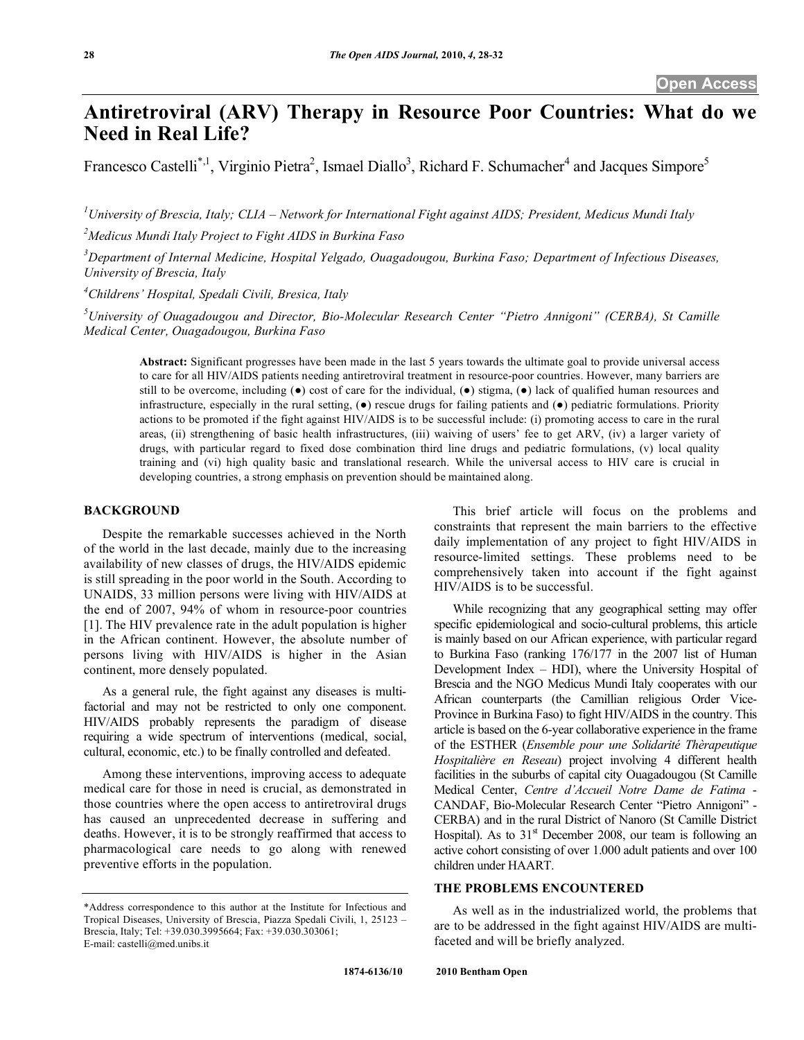# **Antiretroviral (ARV) Therapy in Resource Poor Countries: What do we Need in Real Life?**

Francesco Castelli<sup>\*,1</sup>, Virginio Pietra<sup>2</sup>, Ismael Diallo<sup>3</sup>, Richard F. Schumacher<sup>4</sup> and Jacques Simpore<sup>5</sup>

*1 University of Brescia, Italy; CLIA – Network for International Fight against AIDS; President, Medicus Mundi Italy* 

*2 Medicus Mundi Italy Project to Fight AIDS in Burkina Faso* 

*3 Department of Internal Medicine, Hospital Yelgado, Ouagadougou, Burkina Faso; Department of Infectious Diseases, University of Brescia, Italy* 

*4 Childrens' Hospital, Spedali Civili, Bresica, Italy* 

*5 University of Ouagadougou and Director, Bio-Molecular Research Center "Pietro Annigoni" (CERBA), St Camille Medical Center, Ouagadougou, Burkina Faso* 

**Abstract:** Significant progresses have been made in the last 5 years towards the ultimate goal to provide universal access to care for all HIV/AIDS patients needing antiretroviral treatment in resource-poor countries. However, many barriers are still to be overcome, including  $(\bullet)$  cost of care for the individual,  $(\bullet)$  stigma,  $(\bullet)$  lack of qualified human resources and infrastructure, especially in the rural setting,  $(\bullet)$  rescue drugs for failing patients and  $(\bullet)$  pediatric formulations. Priority actions to be promoted if the fight against HIV/AIDS is to be successful include: (i) promoting access to care in the rural areas, (ii) strengthening of basic health infrastructures, (iii) waiving of users' fee to get ARV, (iv) a larger variety of drugs, with particular regard to fixed dose combination third line drugs and pediatric formulations, (v) local quality training and (vi) high quality basic and translational research. While the universal access to HIV care is crucial in developing countries, a strong emphasis on prevention should be maintained along.

#### **BACKGROUND**

 Despite the remarkable successes achieved in the North of the world in the last decade, mainly due to the increasing availability of new classes of drugs, the HIV/AIDS epidemic is still spreading in the poor world in the South. According to UNAIDS, 33 million persons were living with HIV/AIDS at the end of 2007, 94% of whom in resource-poor countries [1]. The HIV prevalence rate in the adult population is higher in the African continent. However, the absolute number of persons living with HIV/AIDS is higher in the Asian continent, more densely populated.

 As a general rule, the fight against any diseases is multifactorial and may not be restricted to only one component. HIV/AIDS probably represents the paradigm of disease requiring a wide spectrum of interventions (medical, social, cultural, economic, etc.) to be finally controlled and defeated.

 Among these interventions, improving access to adequate medical care for those in need is crucial, as demonstrated in those countries where the open access to antiretroviral drugs has caused an unprecedented decrease in suffering and deaths. However, it is to be strongly reaffirmed that access to pharmacological care needs to go along with renewed preventive efforts in the population.

 This brief article will focus on the problems and constraints that represent the main barriers to the effective daily implementation of any project to fight HIV/AIDS in resource-limited settings. These problems need to be comprehensively taken into account if the fight against HIV/AIDS is to be successful.

 While recognizing that any geographical setting may offer specific epidemiological and socio-cultural problems, this article is mainly based on our African experience, with particular regard to Burkina Faso (ranking 176/177 in the 2007 list of Human Development Index – HDI), where the University Hospital of Brescia and the NGO Medicus Mundi Italy cooperates with our African counterparts (the Camillian religious Order Vice-Province in Burkina Faso) to fight HIV/AIDS in the country. This article is based on the 6-year collaborative experience in the frame of the ESTHER (*Ensemble pour une Solidarité Thèrapeutique Hospitalière en Reseau*) project involving 4 different health facilities in the suburbs of capital city Ouagadougou (St Camille Medical Center, *Centre d'Accueil Notre Dame de Fatima* - CANDAF, Bio-Molecular Research Center "Pietro Annigoni" - CERBA) and in the rural District of Nanoro (St Camille District Hospital). As to  $31<sup>st</sup>$  December 2008, our team is following an active cohort consisting of over 1.000 adult patients and over 100 children under HAART.

## **THE PROBLEMS ENCOUNTERED**

 As well as in the industrialized world, the problems that are to be addressed in the fight against HIV/AIDS are multifaceted and will be briefly analyzed.

<sup>\*</sup>Address correspondence to this author at the Institute for Infectious and Tropical Diseases, University of Brescia, Piazza Spedali Civili, 1, 25123 – Brescia, Italy; Tel: +39.030.3995664; Fax: +39.030.303061; E-mail: castelli@med.unibs.it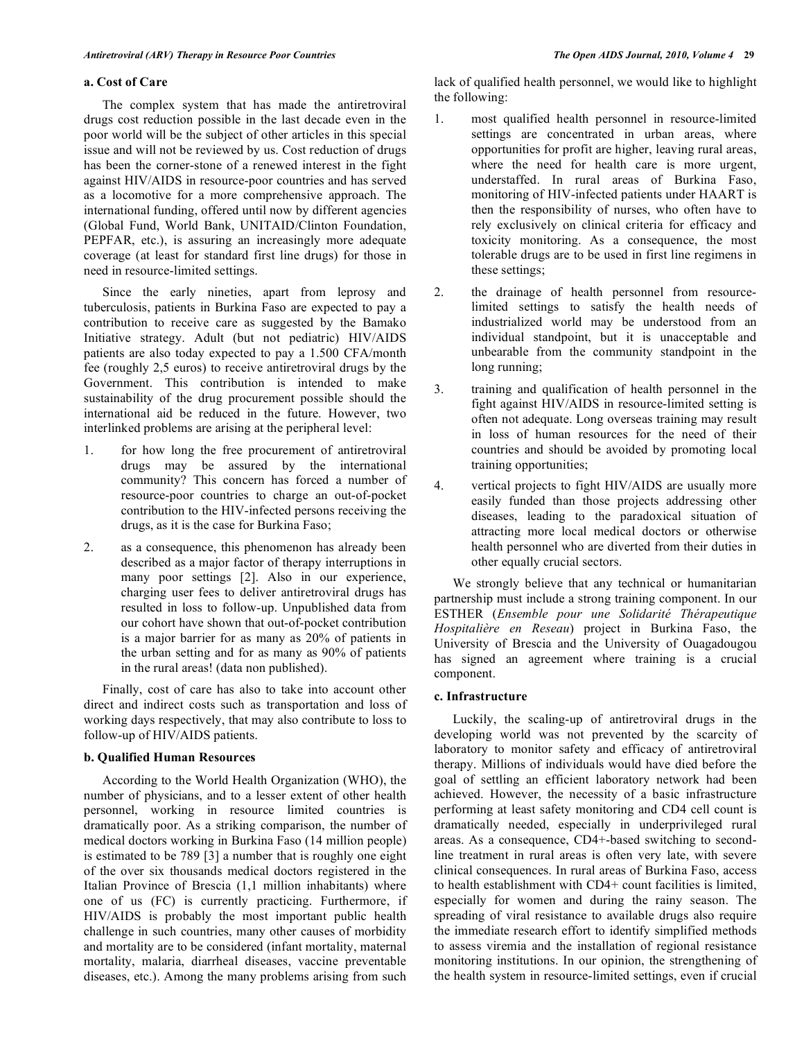### **a. Cost of Care**

 The complex system that has made the antiretroviral drugs cost reduction possible in the last decade even in the poor world will be the subject of other articles in this special issue and will not be reviewed by us. Cost reduction of drugs has been the corner-stone of a renewed interest in the fight against HIV/AIDS in resource-poor countries and has served as a locomotive for a more comprehensive approach. The international funding, offered until now by different agencies (Global Fund, World Bank, UNITAID/Clinton Foundation, PEPFAR, etc.), is assuring an increasingly more adequate coverage (at least for standard first line drugs) for those in need in resource-limited settings.

 Since the early nineties, apart from leprosy and tuberculosis, patients in Burkina Faso are expected to pay a contribution to receive care as suggested by the Bamako Initiative strategy. Adult (but not pediatric) HIV/AIDS patients are also today expected to pay a 1.500 CFA/month fee (roughly 2,5 euros) to receive antiretroviral drugs by the Government. This contribution is intended to make sustainability of the drug procurement possible should the international aid be reduced in the future. However, two interlinked problems are arising at the peripheral level:

- 1. for how long the free procurement of antiretroviral drugs may be assured by the international community? This concern has forced a number of resource-poor countries to charge an out-of-pocket contribution to the HIV-infected persons receiving the drugs, as it is the case for Burkina Faso;
- 2. as a consequence, this phenomenon has already been described as a major factor of therapy interruptions in many poor settings [2]. Also in our experience, charging user fees to deliver antiretroviral drugs has resulted in loss to follow-up. Unpublished data from our cohort have shown that out-of-pocket contribution is a major barrier for as many as 20% of patients in the urban setting and for as many as 90% of patients in the rural areas! (data non published).

 Finally, cost of care has also to take into account other direct and indirect costs such as transportation and loss of working days respectively, that may also contribute to loss to follow-up of HIV/AIDS patients.

## **b. Qualified Human Resources**

 According to the World Health Organization (WHO), the number of physicians, and to a lesser extent of other health personnel, working in resource limited countries is dramatically poor. As a striking comparison, the number of medical doctors working in Burkina Faso (14 million people) is estimated to be 789 [3] a number that is roughly one eight of the over six thousands medical doctors registered in the Italian Province of Brescia (1,1 million inhabitants) where one of us (FC) is currently practicing. Furthermore, if HIV/AIDS is probably the most important public health challenge in such countries, many other causes of morbidity and mortality are to be considered (infant mortality, maternal mortality, malaria, diarrheal diseases, vaccine preventable diseases, etc.). Among the many problems arising from such

lack of qualified health personnel, we would like to highlight the following:

- 1. most qualified health personnel in resource-limited settings are concentrated in urban areas, where opportunities for profit are higher, leaving rural areas, where the need for health care is more urgent, understaffed. In rural areas of Burkina Faso, monitoring of HIV-infected patients under HAART is then the responsibility of nurses, who often have to rely exclusively on clinical criteria for efficacy and toxicity monitoring. As a consequence, the most tolerable drugs are to be used in first line regimens in these settings;
- 2. the drainage of health personnel from resourcelimited settings to satisfy the health needs of industrialized world may be understood from an individual standpoint, but it is unacceptable and unbearable from the community standpoint in the long running;
- 3. training and qualification of health personnel in the fight against HIV/AIDS in resource-limited setting is often not adequate. Long overseas training may result in loss of human resources for the need of their countries and should be avoided by promoting local training opportunities;
- 4. vertical projects to fight HIV/AIDS are usually more easily funded than those projects addressing other diseases, leading to the paradoxical situation of attracting more local medical doctors or otherwise health personnel who are diverted from their duties in other equally crucial sectors.

 We strongly believe that any technical or humanitarian partnership must include a strong training component. In our ESTHER (*Ensemble pour une Solidarité Thérapeutique Hospitalière en Reseau*) project in Burkina Faso, the University of Brescia and the University of Ouagadougou has signed an agreement where training is a crucial component.

## **c. Infrastructure**

 Luckily, the scaling-up of antiretroviral drugs in the developing world was not prevented by the scarcity of laboratory to monitor safety and efficacy of antiretroviral therapy. Millions of individuals would have died before the goal of settling an efficient laboratory network had been achieved. However, the necessity of a basic infrastructure performing at least safety monitoring and CD4 cell count is dramatically needed, especially in underprivileged rural areas. As a consequence, CD4+-based switching to secondline treatment in rural areas is often very late, with severe clinical consequences. In rural areas of Burkina Faso, access to health establishment with CD4+ count facilities is limited, especially for women and during the rainy season. The spreading of viral resistance to available drugs also require the immediate research effort to identify simplified methods to assess viremia and the installation of regional resistance monitoring institutions. In our opinion, the strengthening of the health system in resource-limited settings, even if crucial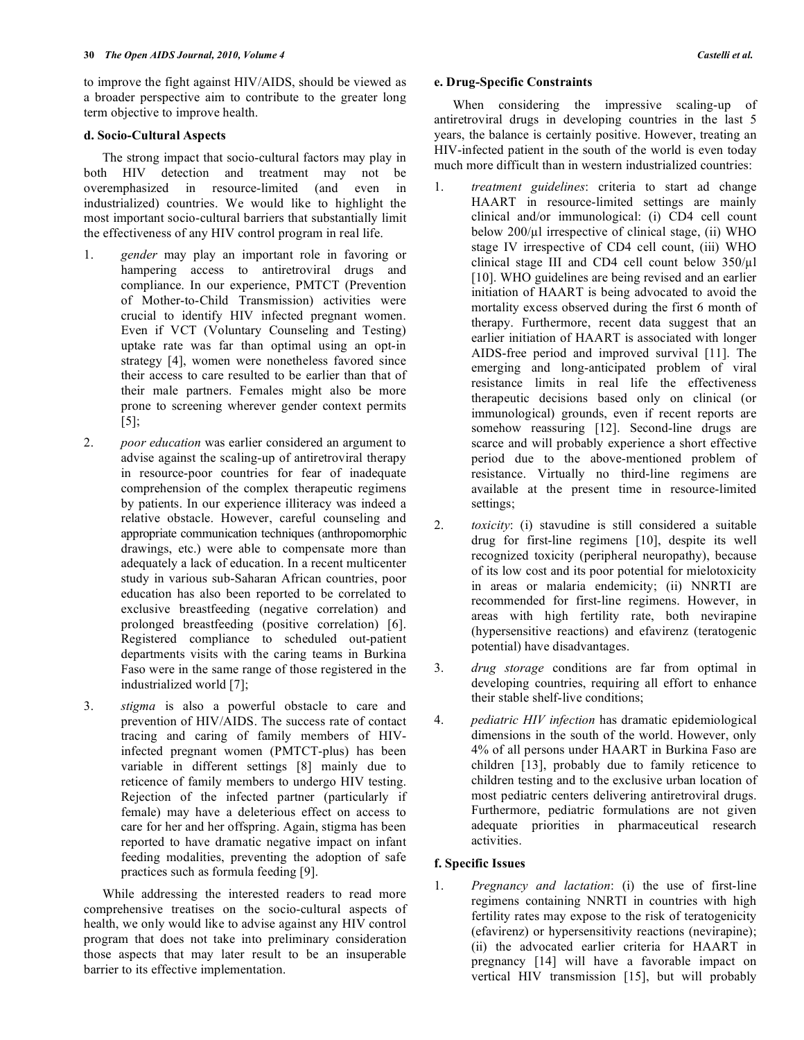to improve the fight against HIV/AIDS, should be viewed as a broader perspective aim to contribute to the greater long term objective to improve health.

#### **d. Socio-Cultural Aspects**

 The strong impact that socio-cultural factors may play in both HIV detection and treatment may not be overemphasized in resource-limited (and even in industrialized) countries. We would like to highlight the most important socio-cultural barriers that substantially limit the effectiveness of any HIV control program in real life.

- 1. *gender* may play an important role in favoring or hampering access to antiretroviral drugs and compliance. In our experience, PMTCT (Prevention of Mother-to-Child Transmission) activities were crucial to identify HIV infected pregnant women. Even if VCT (Voluntary Counseling and Testing) uptake rate was far than optimal using an opt-in strategy [4], women were nonetheless favored since their access to care resulted to be earlier than that of their male partners. Females might also be more prone to screening wherever gender context permits  $[5]$ ;
- 2. *poor education* was earlier considered an argument to advise against the scaling-up of antiretroviral therapy in resource-poor countries for fear of inadequate comprehension of the complex therapeutic regimens by patients. In our experience illiteracy was indeed a relative obstacle. However, careful counseling and appropriate communication techniques (anthropomorphic drawings, etc.) were able to compensate more than adequately a lack of education. In a recent multicenter study in various sub-Saharan African countries, poor education has also been reported to be correlated to exclusive breastfeeding (negative correlation) and prolonged breastfeeding (positive correlation) [6]. Registered compliance to scheduled out-patient departments visits with the caring teams in Burkina Faso were in the same range of those registered in the industrialized world [7];
- 3. *stigma* is also a powerful obstacle to care and prevention of HIV/AIDS. The success rate of contact tracing and caring of family members of HIVinfected pregnant women (PMTCT-plus) has been variable in different settings [8] mainly due to reticence of family members to undergo HIV testing. Rejection of the infected partner (particularly if female) may have a deleterious effect on access to care for her and her offspring. Again, stigma has been reported to have dramatic negative impact on infant feeding modalities, preventing the adoption of safe practices such as formula feeding [9].

 While addressing the interested readers to read more comprehensive treatises on the socio-cultural aspects of health, we only would like to advise against any HIV control program that does not take into preliminary consideration those aspects that may later result to be an insuperable barrier to its effective implementation.

#### **e. Drug-Specific Constraints**

 When considering the impressive scaling-up of antiretroviral drugs in developing countries in the last 5 years, the balance is certainly positive. However, treating an HIV-infected patient in the south of the world is even today much more difficult than in western industrialized countries:

- 1. *treatment guidelines*: criteria to start ad change HAART in resource-limited settings are mainly clinical and/or immunological: (i) CD4 cell count below  $200/\mu$ l irrespective of clinical stage, (ii) WHO stage IV irrespective of CD4 cell count, (iii) WHO clinical stage III and CD4 cell count below  $350/\mu$ [10]. WHO guidelines are being revised and an earlier initiation of HAART is being advocated to avoid the mortality excess observed during the first 6 month of therapy. Furthermore, recent data suggest that an earlier initiation of HAART is associated with longer AIDS-free period and improved survival [11]. The emerging and long-anticipated problem of viral resistance limits in real life the effectiveness therapeutic decisions based only on clinical (or immunological) grounds, even if recent reports are somehow reassuring [12]. Second-line drugs are scarce and will probably experience a short effective period due to the above-mentioned problem of resistance. Virtually no third-line regimens are available at the present time in resource-limited settings;
- 2. *toxicity*: (i) stavudine is still considered a suitable drug for first-line regimens [10], despite its well recognized toxicity (peripheral neuropathy), because of its low cost and its poor potential for mielotoxicity in areas or malaria endemicity; (ii) NNRTI are recommended for first-line regimens. However, in areas with high fertility rate, both nevirapine (hypersensitive reactions) and efavirenz (teratogenic potential) have disadvantages.
- 3. *drug storage* conditions are far from optimal in developing countries, requiring all effort to enhance their stable shelf-live conditions;
- 4. *pediatric HIV infection* has dramatic epidemiological dimensions in the south of the world. However, only 4% of all persons under HAART in Burkina Faso are children [13], probably due to family reticence to children testing and to the exclusive urban location of most pediatric centers delivering antiretroviral drugs. Furthermore, pediatric formulations are not given adequate priorities in pharmaceutical research activities.

#### **f. Specific Issues**

1. *Pregnancy and lactation*: (i) the use of first-line regimens containing NNRTI in countries with high fertility rates may expose to the risk of teratogenicity (efavirenz) or hypersensitivity reactions (nevirapine); (ii) the advocated earlier criteria for HAART in pregnancy [14] will have a favorable impact on vertical HIV transmission [15], but will probably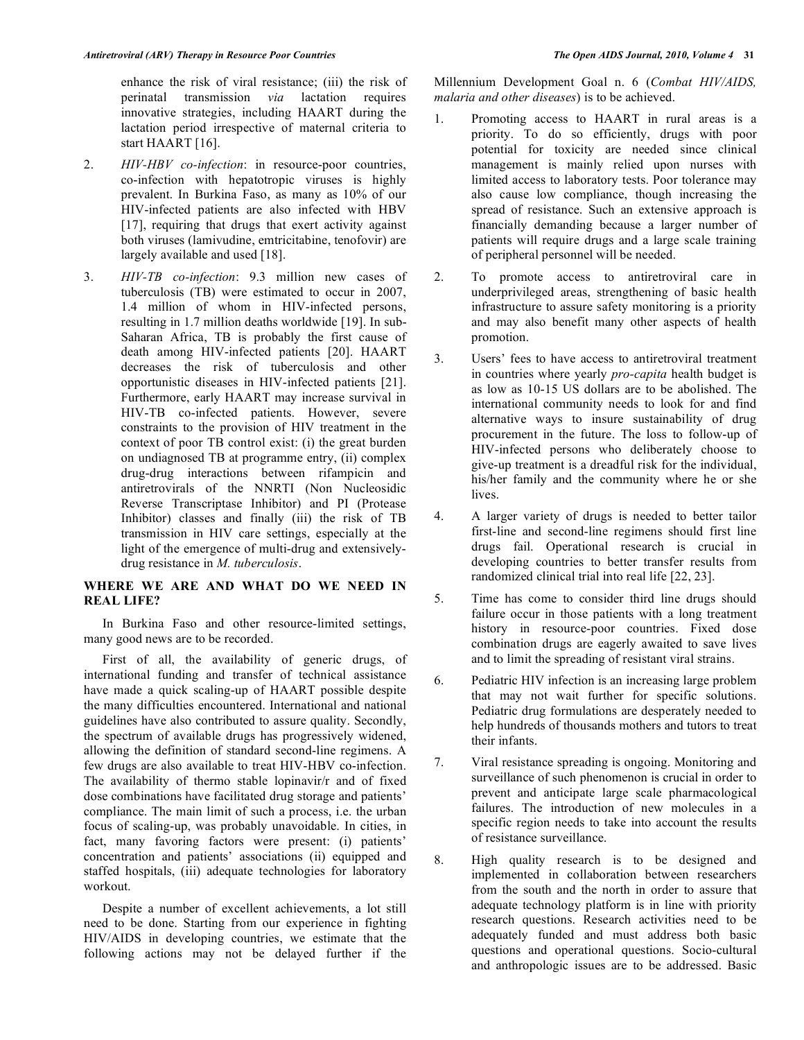enhance the risk of viral resistance; (iii) the risk of perinatal transmission *via* lactation requires innovative strategies, including HAART during the lactation period irrespective of maternal criteria to start HAART [16].

- 2. *HIV-HBV co-infection*: in resource-poor countries, co-infection with hepatotropic viruses is highly prevalent. In Burkina Faso, as many as 10% of our HIV-infected patients are also infected with HBV [17], requiring that drugs that exert activity against both viruses (lamivudine, emtricitabine, tenofovir) are largely available and used [18].
- 3. *HIV-TB co-infection*: 9.3 million new cases of tuberculosis (TB) were estimated to occur in 2007, 1.4 million of whom in HIV-infected persons, resulting in 1.7 million deaths worldwide [19]. In sub-Saharan Africa, TB is probably the first cause of death among HIV-infected patients [20]. HAART decreases the risk of tuberculosis and other opportunistic diseases in HIV-infected patients [21]. Furthermore, early HAART may increase survival in HIV-TB co-infected patients. However, severe constraints to the provision of HIV treatment in the context of poor TB control exist: (i) the great burden on undiagnosed TB at programme entry, (ii) complex drug-drug interactions between rifampicin and antiretrovirals of the NNRTI (Non Nucleosidic Reverse Transcriptase Inhibitor) and PI (Protease Inhibitor) classes and finally (iii) the risk of TB transmission in HIV care settings, especially at the light of the emergence of multi-drug and extensivelydrug resistance in *M. tuberculosis*.

## **WHERE WE ARE AND WHAT DO WE NEED IN REAL LIFE?**

 In Burkina Faso and other resource-limited settings, many good news are to be recorded.

 First of all, the availability of generic drugs, of international funding and transfer of technical assistance have made a quick scaling-up of HAART possible despite the many difficulties encountered. International and national guidelines have also contributed to assure quality. Secondly, the spectrum of available drugs has progressively widened, allowing the definition of standard second-line regimens. A few drugs are also available to treat HIV-HBV co-infection. The availability of thermo stable lopinavir/r and of fixed dose combinations have facilitated drug storage and patients' compliance. The main limit of such a process, i.e. the urban focus of scaling-up, was probably unavoidable. In cities, in fact, many favoring factors were present: (i) patients' concentration and patients' associations (ii) equipped and staffed hospitals, (iii) adequate technologies for laboratory workout.

 Despite a number of excellent achievements, a lot still need to be done. Starting from our experience in fighting HIV/AIDS in developing countries, we estimate that the following actions may not be delayed further if the

Millennium Development Goal n. 6 (*Combat HIV/AIDS, malaria and other diseases*) is to be achieved.

- 1. Promoting access to HAART in rural areas is a priority. To do so efficiently, drugs with poor potential for toxicity are needed since clinical management is mainly relied upon nurses with limited access to laboratory tests. Poor tolerance may also cause low compliance, though increasing the spread of resistance. Such an extensive approach is financially demanding because a larger number of patients will require drugs and a large scale training of peripheral personnel will be needed.
- 2. To promote access to antiretroviral care in underprivileged areas, strengthening of basic health infrastructure to assure safety monitoring is a priority and may also benefit many other aspects of health promotion.
- 3. Users' fees to have access to antiretroviral treatment in countries where yearly *pro-capita* health budget is as low as 10-15 US dollars are to be abolished. The international community needs to look for and find alternative ways to insure sustainability of drug procurement in the future. The loss to follow-up of HIV-infected persons who deliberately choose to give-up treatment is a dreadful risk for the individual, his/her family and the community where he or she lives.
- 4. A larger variety of drugs is needed to better tailor first-line and second-line regimens should first line drugs fail. Operational research is crucial in developing countries to better transfer results from randomized clinical trial into real life [22, 23].
- 5. Time has come to consider third line drugs should failure occur in those patients with a long treatment history in resource-poor countries. Fixed dose combination drugs are eagerly awaited to save lives and to limit the spreading of resistant viral strains.
- 6. Pediatric HIV infection is an increasing large problem that may not wait further for specific solutions. Pediatric drug formulations are desperately needed to help hundreds of thousands mothers and tutors to treat their infants.
- 7. Viral resistance spreading is ongoing. Monitoring and surveillance of such phenomenon is crucial in order to prevent and anticipate large scale pharmacological failures. The introduction of new molecules in a specific region needs to take into account the results of resistance surveillance.
- 8. High quality research is to be designed and implemented in collaboration between researchers from the south and the north in order to assure that adequate technology platform is in line with priority research questions. Research activities need to be adequately funded and must address both basic questions and operational questions. Socio-cultural and anthropologic issues are to be addressed. Basic